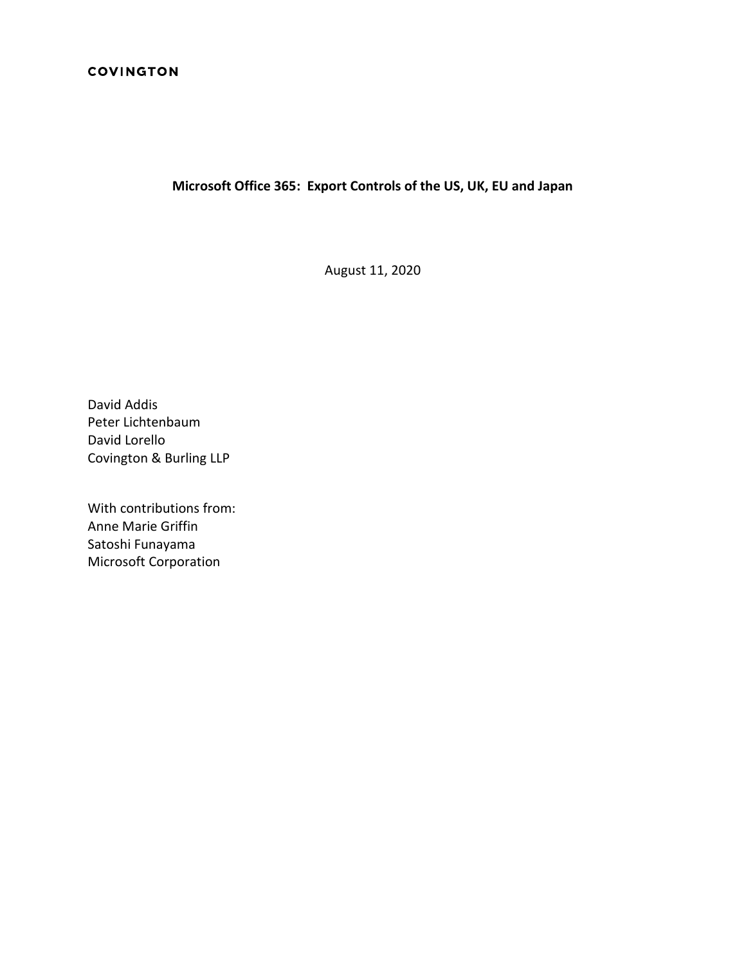## **Microsoft Office 365: Export Controls of the US, UK, EU and Japan**

August 11, 2020

David Addis Peter Lichtenbaum David Lorello Covington & Burling LLP

With contributions from: Anne Marie Griffin Satoshi Funayama Microsoft Corporation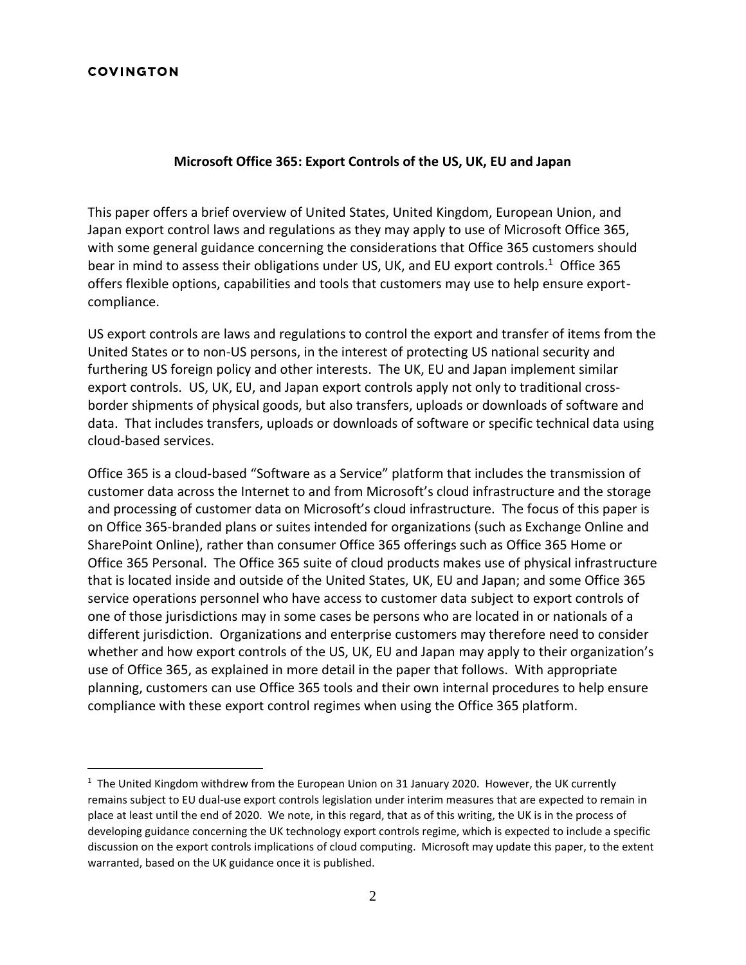#### **Microsoft Office 365: Export Controls of the US, UK, EU and Japan**

This paper offers a brief overview of United States, United Kingdom, European Union, and Japan export control laws and regulations as they may apply to use of Microsoft Office 365, with some general guidance concerning the considerations that Office 365 customers should bear in mind to assess their obligations under US, UK, and EU export controls.<sup>1</sup> Office 365 offers flexible options, capabilities and tools that customers may use to help ensure exportcompliance.

US export controls are laws and regulations to control the export and transfer of items from the United States or to non-US persons, in the interest of protecting US national security and furthering US foreign policy and other interests. The UK, EU and Japan implement similar export controls. US, UK, EU, and Japan export controls apply not only to traditional crossborder shipments of physical goods, but also transfers, uploads or downloads of software and data. That includes transfers, uploads or downloads of software or specific technical data using cloud-based services.

Office 365 is a cloud-based "Software as a Service" platform that includes the transmission of customer data across the Internet to and from Microsoft's cloud infrastructure and the storage and processing of customer data on Microsoft's cloud infrastructure. The focus of this paper is on Office 365-branded plans or suites intended for organizations (such as Exchange Online and SharePoint Online), rather than consumer Office 365 offerings such as Office 365 Home or Office 365 Personal. The Office 365 suite of cloud products makes use of physical infrastructure that is located inside and outside of the United States, UK, EU and Japan; and some Office 365 service operations personnel who have access to customer data subject to export controls of one of those jurisdictions may in some cases be persons who are located in or nationals of a different jurisdiction. Organizations and enterprise customers may therefore need to consider whether and how export controls of the US, UK, EU and Japan may apply to their organization's use of Office 365, as explained in more detail in the paper that follows. With appropriate planning, customers can use Office 365 tools and their own internal procedures to help ensure compliance with these export control regimes when using the Office 365 platform.

 $1$  The United Kingdom withdrew from the European Union on 31 January 2020. However, the UK currently remains subject to EU dual-use export controls legislation under interim measures that are expected to remain in place at least until the end of 2020. We note, in this regard, that as of this writing, the UK is in the process of developing guidance concerning the UK technology export controls regime, which is expected to include a specific discussion on the export controls implications of cloud computing. Microsoft may update this paper, to the extent warranted, based on the UK guidance once it is published.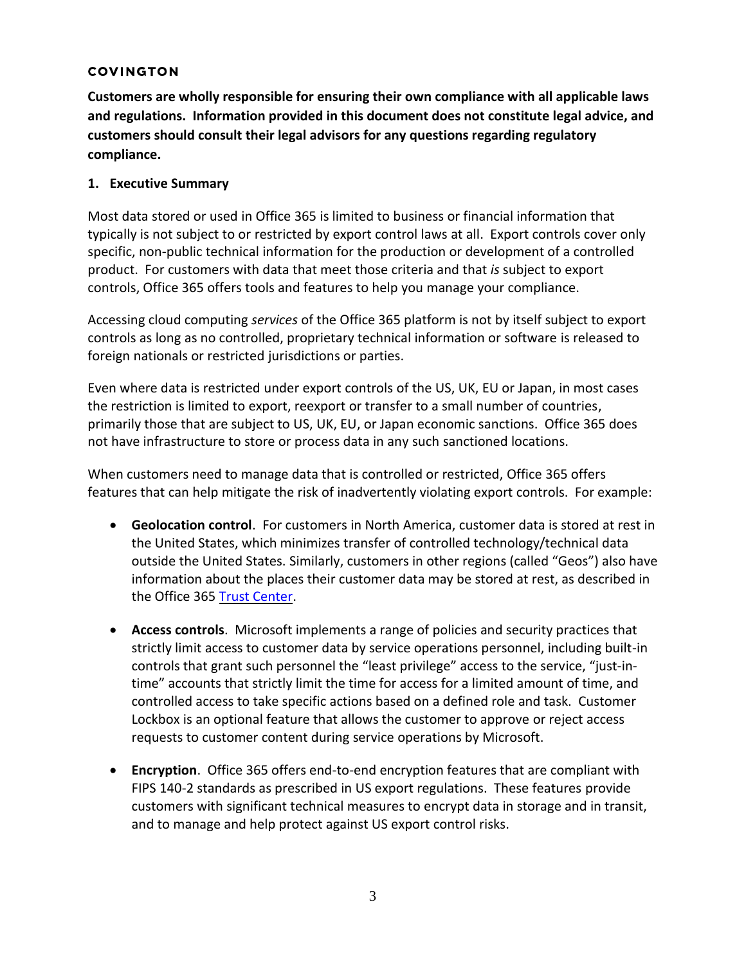**Customers are wholly responsible for ensuring their own compliance with all applicable laws and regulations. Information provided in this document does not constitute legal advice, and customers should consult their legal advisors for any questions regarding regulatory compliance.**

## **1. Executive Summary**

Most data stored or used in Office 365 is limited to business or financial information that typically is not subject to or restricted by export control laws at all. Export controls cover only specific, non-public technical information for the production or development of a controlled product. For customers with data that meet those criteria and that *is* subject to export controls, Office 365 offers tools and features to help you manage your compliance.

Accessing cloud computing *services* of the Office 365 platform is not by itself subject to export controls as long as no controlled, proprietary technical information or software is released to foreign nationals or restricted jurisdictions or parties.

Even where data is restricted under export controls of the US, UK, EU or Japan, in most cases the restriction is limited to export, reexport or transfer to a small number of countries, primarily those that are subject to US, UK, EU, or Japan economic sanctions. Office 365 does not have infrastructure to store or process data in any such sanctioned locations.

When customers need to manage data that is controlled or restricted, Office 365 offers features that can help mitigate the risk of inadvertently violating export controls. For example:

- **Geolocation control**. For customers in North America, customer data is stored at rest in the United States, which minimizes transfer of controlled technology/technical data outside the United States. Similarly, customers in other regions (called "Geos") also have information about the places their customer data may be stored at rest, as described in the Office 365 [Trust Center.](https://www.microsoft.com/en-us/trust-center/product-overview)
- **Access controls**. Microsoft implements a range of policies and security practices that strictly limit access to customer data by service operations personnel, including built-in controls that grant such personnel the "least privilege" access to the service, "just-intime" accounts that strictly limit the time for access for a limited amount of time, and controlled access to take specific actions based on a defined role and task. Customer Lockbox is an optional feature that allows the customer to approve or reject access requests to customer content during service operations by Microsoft.
- **Encryption**. Office 365 offers end-to-end encryption features that are compliant with FIPS 140-2 standards as prescribed in US export regulations. These features provide customers with significant technical measures to encrypt data in storage and in transit, and to manage and help protect against US export control risks.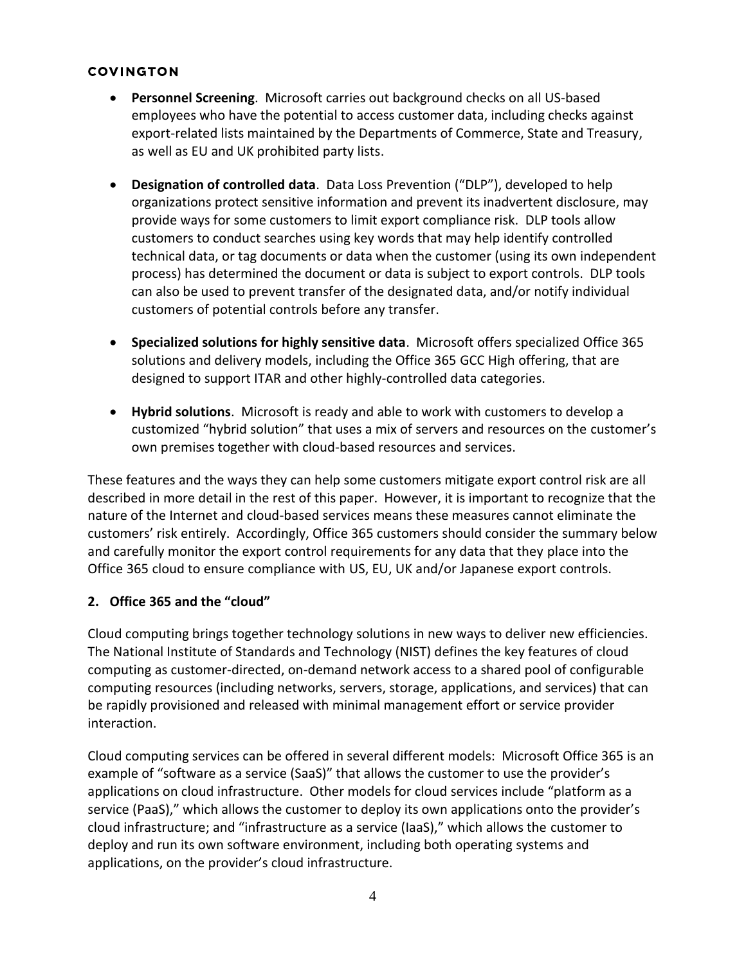- **Personnel Screening**. Microsoft carries out background checks on all US-based employees who have the potential to access customer data, including checks against export-related lists maintained by the Departments of Commerce, State and Treasury, as well as EU and UK prohibited party lists.
- **Designation of controlled data**. Data Loss Prevention ("DLP"), developed to help organizations protect sensitive information and prevent its inadvertent disclosure, may provide ways for some customers to limit export compliance risk. DLP tools allow customers to conduct searches using key words that may help identify controlled technical data, or tag documents or data when the customer (using its own independent process) has determined the document or data is subject to export controls. DLP tools can also be used to prevent transfer of the designated data, and/or notify individual customers of potential controls before any transfer.
- **Specialized solutions for highly sensitive data**. Microsoft offers specialized Office 365 solutions and delivery models, including the Office 365 GCC High offering, that are designed to support ITAR and other highly-controlled data categories.
- **Hybrid solutions**. Microsoft is ready and able to work with customers to develop a customized "hybrid solution" that uses a mix of servers and resources on the customer's own premises together with cloud-based resources and services.

These features and the ways they can help some customers mitigate export control risk are all described in more detail in the rest of this paper. However, it is important to recognize that the nature of the Internet and cloud-based services means these measures cannot eliminate the customers' risk entirely. Accordingly, Office 365 customers should consider the summary below and carefully monitor the export control requirements for any data that they place into the Office 365 cloud to ensure compliance with US, EU, UK and/or Japanese export controls.

# **2. Office 365 and the "cloud"**

Cloud computing brings together technology solutions in new ways to deliver new efficiencies. The National Institute of Standards and Technology (NIST) defines the key features of cloud computing as customer-directed, on-demand network access to a shared pool of configurable computing resources (including networks, servers, storage, applications, and services) that can be rapidly provisioned and released with minimal management effort or service provider interaction.

Cloud computing services can be offered in several different models: Microsoft Office 365 is an example of "software as a service (SaaS)" that allows the customer to use the provider's applications on cloud infrastructure. Other models for cloud services include "platform as a service (PaaS)," which allows the customer to deploy its own applications onto the provider's cloud infrastructure; and "infrastructure as a service (IaaS)," which allows the customer to deploy and run its own software environment, including both operating systems and applications, on the provider's cloud infrastructure.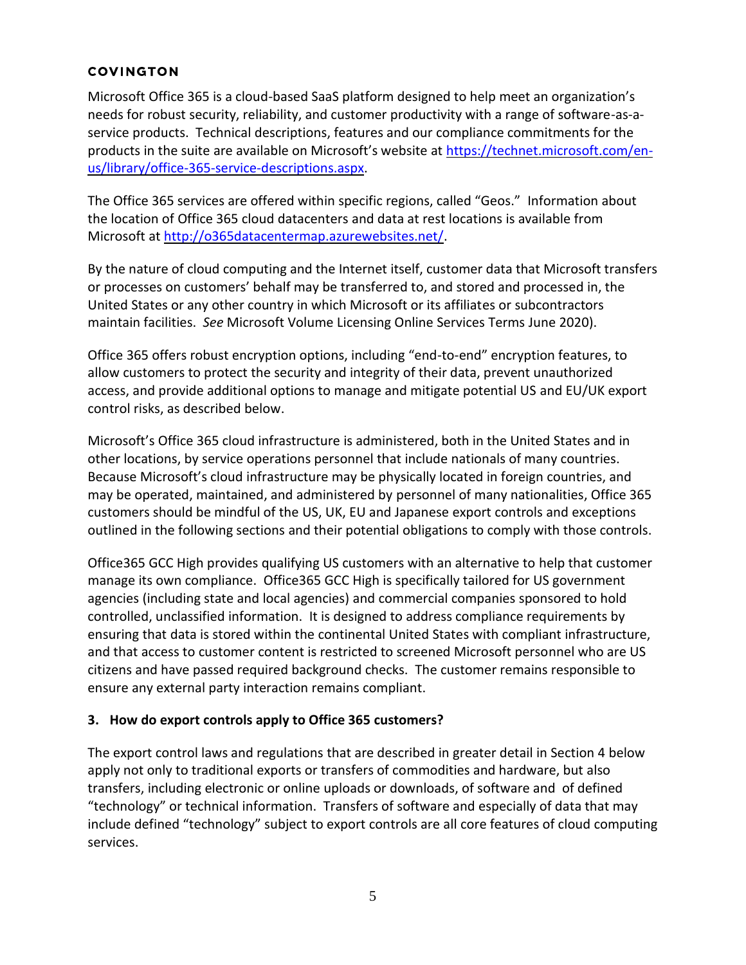Microsoft Office 365 is a cloud-based SaaS platform designed to help meet an organization's needs for robust security, reliability, and customer productivity with a range of software-as-aservice products. Technical descriptions, features and our compliance commitments for the products in the suite are available on Microsoft's website at [https://technet.microsoft.com/en](https://technet.microsoft.com/en-us/library/office-365-service-descriptions.aspx)[us/library/office-365-service-descriptions.aspx.](https://technet.microsoft.com/en-us/library/office-365-service-descriptions.aspx)

The Office 365 services are offered within specific regions, called "Geos." Information about the location of Office 365 cloud datacenters and data at rest locations is available from Microsoft at [http://o365datacentermap.azurewebsites.net/.](http://o365datacentermap.azurewebsites.net/)

By the nature of cloud computing and the Internet itself, customer data that Microsoft transfers or processes on customers' behalf may be transferred to, and stored and processed in, the United States or any other country in which Microsoft or its affiliates or subcontractors maintain facilities. *See* Microsoft Volume Licensing Online Services Terms June 2020).

Office 365 offers robust encryption options, including "end-to-end" encryption features, to allow customers to protect the security and integrity of their data, prevent unauthorized access, and provide additional options to manage and mitigate potential US and EU/UK export control risks, as described below.

Microsoft's Office 365 cloud infrastructure is administered, both in the United States and in other locations, by service operations personnel that include nationals of many countries. Because Microsoft's cloud infrastructure may be physically located in foreign countries, and may be operated, maintained, and administered by personnel of many nationalities, Office 365 customers should be mindful of the US, UK, EU and Japanese export controls and exceptions outlined in the following sections and their potential obligations to comply with those controls.

Office365 GCC High provides qualifying US customers with an alternative to help that customer manage its own compliance. Office365 GCC High is specifically tailored for US government agencies (including state and local agencies) and commercial companies sponsored to hold controlled, unclassified information. It is designed to address compliance requirements by ensuring that data is stored within the continental United States with compliant infrastructure, and that access to customer content is restricted to screened Microsoft personnel who are US citizens and have passed required background checks. The customer remains responsible to ensure any external party interaction remains compliant.

# **3. How do export controls apply to Office 365 customers?**

The export control laws and regulations that are described in greater detail in Section 4 below apply not only to traditional exports or transfers of commodities and hardware, but also transfers, including electronic or online uploads or downloads, of software and of defined "technology" or technical information. Transfers of software and especially of data that may include defined "technology" subject to export controls are all core features of cloud computing services.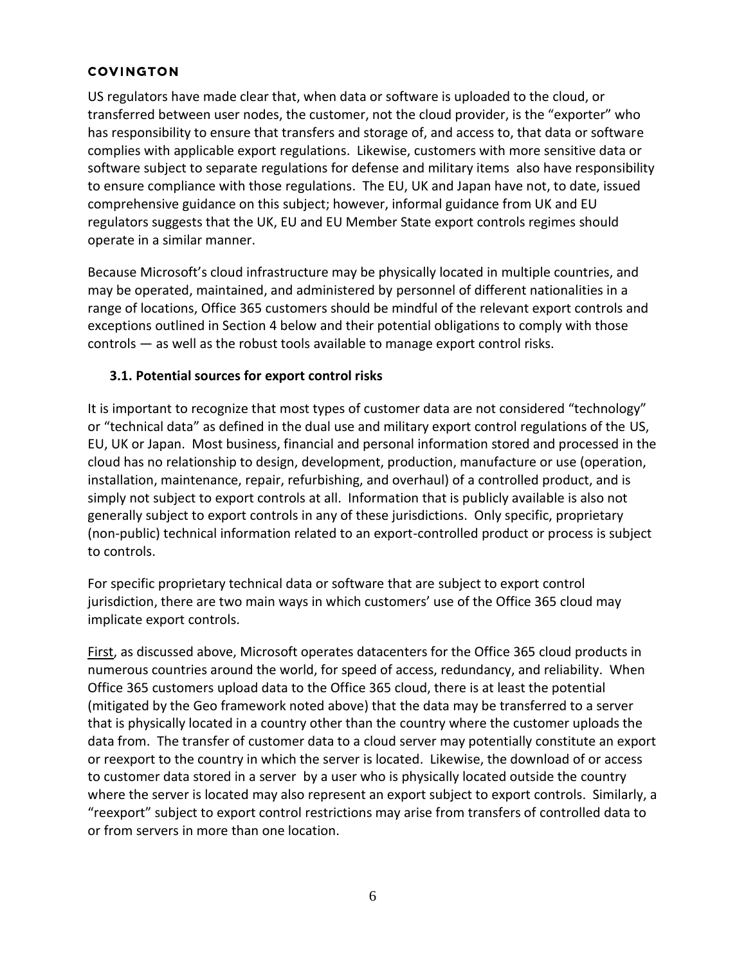US regulators have made clear that, when data or software is uploaded to the cloud, or transferred between user nodes, the customer, not the cloud provider, is the "exporter" who has responsibility to ensure that transfers and storage of, and access to, that data or software complies with applicable export regulations. Likewise, customers with more sensitive data or software subject to separate regulations for defense and military items also have responsibility to ensure compliance with those regulations. The EU, UK and Japan have not, to date, issued comprehensive guidance on this subject; however, informal guidance from UK and EU regulators suggests that the UK, EU and EU Member State export controls regimes should operate in a similar manner.

Because Microsoft's cloud infrastructure may be physically located in multiple countries, and may be operated, maintained, and administered by personnel of different nationalities in a range of locations, Office 365 customers should be mindful of the relevant export controls and exceptions outlined in Section 4 below and their potential obligations to comply with those controls — as well as the robust tools available to manage export control risks.

## **3.1. Potential sources for export control risks**

It is important to recognize that most types of customer data are not considered "technology" or "technical data" as defined in the dual use and military export control regulations of the US, EU, UK or Japan. Most business, financial and personal information stored and processed in the cloud has no relationship to design, development, production, manufacture or use (operation, installation, maintenance, repair, refurbishing, and overhaul) of a controlled product, and is simply not subject to export controls at all. Information that is publicly available is also not generally subject to export controls in any of these jurisdictions. Only specific, proprietary (non-public) technical information related to an export-controlled product or process is subject to controls.

For specific proprietary technical data or software that are subject to export control jurisdiction, there are two main ways in which customers' use of the Office 365 cloud may implicate export controls.

First, as discussed above, Microsoft operates datacenters for the Office 365 cloud products in numerous countries around the world, for speed of access, redundancy, and reliability. When Office 365 customers upload data to the Office 365 cloud, there is at least the potential (mitigated by the Geo framework noted above) that the data may be transferred to a server that is physically located in a country other than the country where the customer uploads the data from. The transfer of customer data to a cloud server may potentially constitute an export or reexport to the country in which the server is located. Likewise, the download of or access to customer data stored in a server by a user who is physically located outside the country where the server is located may also represent an export subject to export controls. Similarly, a "reexport" subject to export control restrictions may arise from transfers of controlled data to or from servers in more than one location.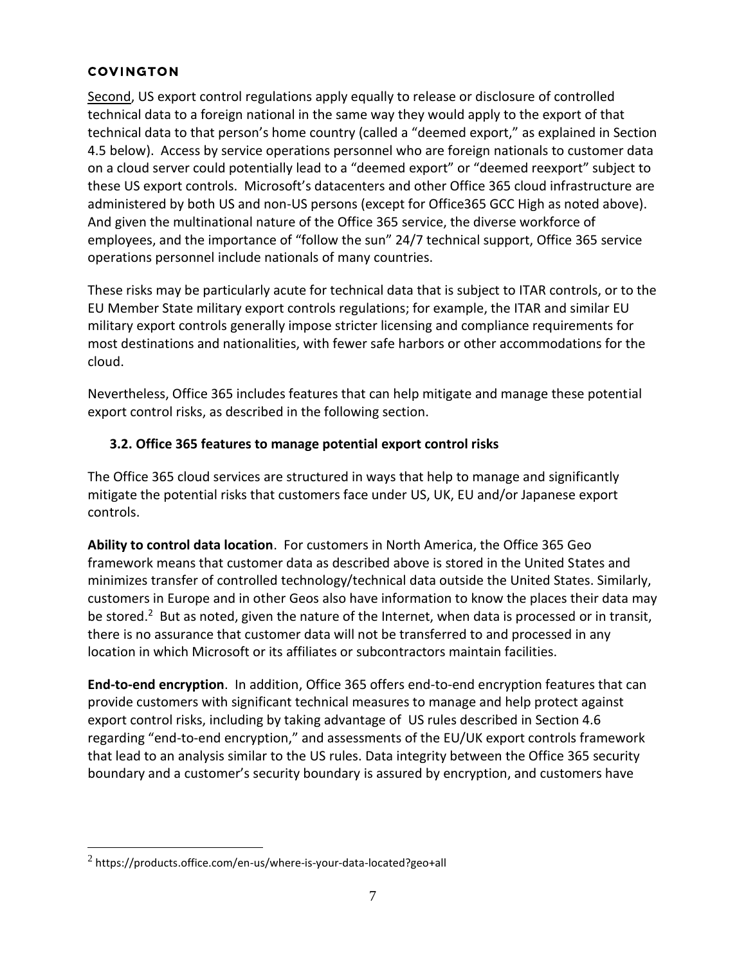Second, US export control regulations apply equally to release or disclosure of controlled technical data to a foreign national in the same way they would apply to the export of that technical data to that person's home country (called a "deemed export," as explained in Section 4.5 below). Access by service operations personnel who are foreign nationals to customer data on a cloud server could potentially lead to a "deemed export" or "deemed reexport" subject to these US export controls. Microsoft's datacenters and other Office 365 cloud infrastructure are administered by both US and non-US persons (except for Office365 GCC High as noted above). And given the multinational nature of the Office 365 service, the diverse workforce of employees, and the importance of "follow the sun" 24/7 technical support, Office 365 service operations personnel include nationals of many countries.

These risks may be particularly acute for technical data that is subject to ITAR controls, or to the EU Member State military export controls regulations; for example, the ITAR and similar EU military export controls generally impose stricter licensing and compliance requirements for most destinations and nationalities, with fewer safe harbors or other accommodations for the cloud.

Nevertheless, Office 365 includes features that can help mitigate and manage these potential export control risks, as described in the following section.

## **3.2. Office 365 features to manage potential export control risks**

The Office 365 cloud services are structured in ways that help to manage and significantly mitigate the potential risks that customers face under US, UK, EU and/or Japanese export controls.

**Ability to control data location**. For customers in North America, the Office 365 Geo framework means that customer data as described above is stored in the United States and minimizes transfer of controlled technology/technical data outside the United States. Similarly, customers in Europe and in other Geos also have information to know the places their data may be stored.<sup>2</sup> But as noted, given the nature of the Internet, when data is processed or in transit, there is no assurance that customer data will not be transferred to and processed in any location in which Microsoft or its affiliates or subcontractors maintain facilities.

**End-to-end encryption**. In addition, Office 365 offers end-to-end encryption features that can provide customers with significant technical measures to manage and help protect against export control risks, including by taking advantage of US rules described in Section 4.6 regarding "end-to-end encryption," and assessments of the EU/UK export controls framework that lead to an analysis similar to the US rules. Data integrity between the Office 365 security boundary and a customer's security boundary is assured by encryption, and customers have

 $^2$  https://products.office.com/en-us/where-is-your-data-located?geo+all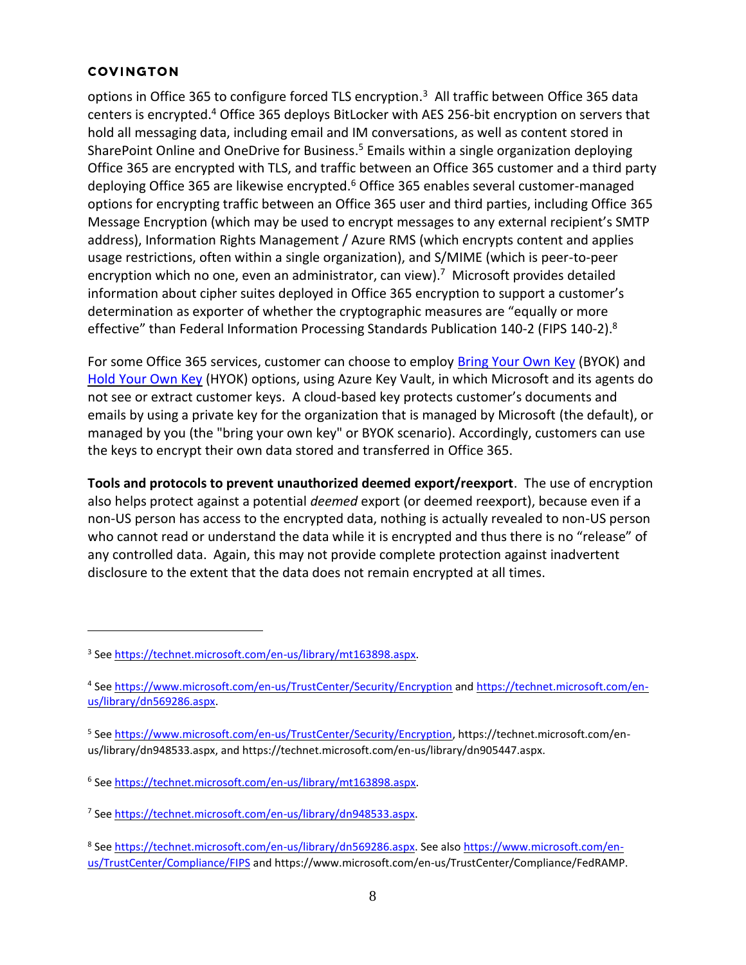options in Office 365 to configure forced TLS encryption.<sup>3</sup> All traffic between Office 365 data centers is encrypted.<sup>4</sup> Office 365 deploys BitLocker with AES 256-bit encryption on servers that hold all messaging data, including email and IM conversations, as well as content stored in SharePoint Online and OneDrive for Business.<sup>5</sup> Emails within a single organization deploying Office 365 are encrypted with TLS, and traffic between an Office 365 customer and a third party deploying Office 365 are likewise encrypted.<sup>6</sup> Office 365 enables several customer-managed options for encrypting traffic between an Office 365 user and third parties, including Office 365 Message Encryption (which may be used to encrypt messages to any external recipient's SMTP address), Information Rights Management / Azure RMS (which encrypts content and applies usage restrictions, often within a single organization), and S/MIME (which is peer-to-peer encryption which no one, even an administrator, can view).<sup>7</sup> Microsoft provides detailed information about cipher suites deployed in Office 365 encryption to support a customer's determination as exporter of whether the cryptographic measures are "equally or more effective" than Federal Information Processing Standards Publication 140-2 (FIPS 140-2).<sup>8</sup>

For some Office 365 services, customer can choose to employ [Bring Your Own Key](https://docs.microsoft.com/en-us/microsoft-365/compliance/customer-key-overview?view=o365-worldwide) (BYOK) and [Hold Your Own Key](https://docs.microsoft.com/en-us/azure/information-protection/configure-adrms-restrictions) (HYOK) options, using Azure Key Vault, in which Microsoft and its agents do not see or extract customer keys. A cloud-based key protects customer's documents and emails by using a private key for the organization that is managed by Microsoft (the default), or managed by you (the "bring your own key" or BYOK scenario). Accordingly, customers can use the keys to encrypt their own data stored and transferred in Office 365.

**Tools and protocols to prevent unauthorized deemed export/reexport**. The use of encryption also helps protect against a potential *deemed* export (or deemed reexport), because even if a non-US person has access to the encrypted data, nothing is actually revealed to non-US person who cannot read or understand the data while it is encrypted and thus there is no "release" of any controlled data. Again, this may not provide complete protection against inadvertent disclosure to the extent that the data does not remain encrypted at all times.

<sup>8</sup> See [https://technet.microsoft.com/en-us/library/dn569286.aspx.](https://technet.microsoft.com/en-us/library/dn569286.aspx) See als[o https://www.microsoft.com/en](https://www.microsoft.com/en-us/TrustCenter/Compliance/FIPS)[us/TrustCenter/Compliance/FIPS](https://www.microsoft.com/en-us/TrustCenter/Compliance/FIPS) and https://www.microsoft.com/en-us/TrustCenter/Compliance/FedRAMP.

<sup>3</sup> See [https://technet.microsoft.com/en-us/library/mt163898.aspx.](https://technet.microsoft.com/en-us/library/mt163898.aspx)

<sup>&</sup>lt;sup>4</sup> See<https://www.microsoft.com/en-us/TrustCenter/Security/Encryption> and [https://technet.microsoft.com/en](https://technet.microsoft.com/en-us/library/dn569286.aspx)[us/library/dn569286.aspx.](https://technet.microsoft.com/en-us/library/dn569286.aspx)

<sup>&</sup>lt;sup>5</sup> See <u>https://www.microsoft.com/en-us/TrustCenter/Security/Encryption</u>, https://technet.microsoft.com/enus/library/dn948533.aspx, and https://technet.microsoft.com/en-us/library/dn905447.aspx.

<sup>&</sup>lt;sup>6</sup> See [https://technet.microsoft.com/en-us/library/mt163898.aspx.](https://technet.microsoft.com/en-us/library/mt163898.aspx)

<sup>7</sup> See [https://technet.microsoft.com/en-us/library/dn948533.aspx.](https://technet.microsoft.com/en-us/library/dn948533.aspx)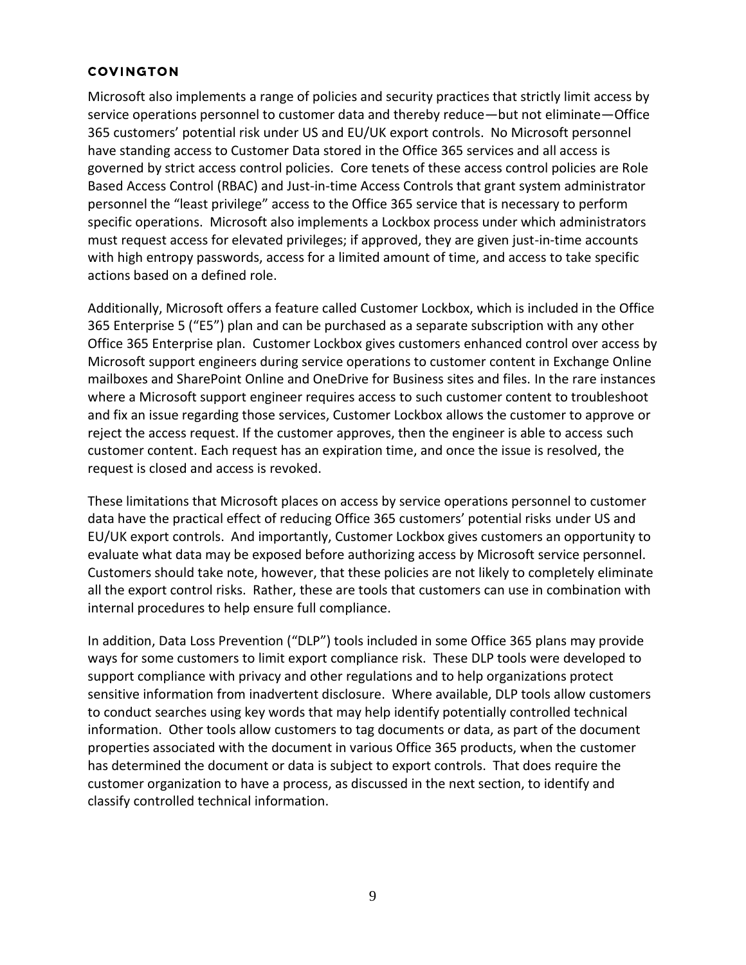Microsoft also implements a range of policies and security practices that strictly limit access by service operations personnel to customer data and thereby reduce—but not eliminate—Office 365 customers' potential risk under US and EU/UK export controls. No Microsoft personnel have standing access to Customer Data stored in the Office 365 services and all access is governed by strict access control policies. Core tenets of these access control policies are Role Based Access Control (RBAC) and Just-in-time Access Controls that grant system administrator personnel the "least privilege" access to the Office 365 service that is necessary to perform specific operations. Microsoft also implements a Lockbox process under which administrators must request access for elevated privileges; if approved, they are given just-in-time accounts with high entropy passwords, access for a limited amount of time, and access to take specific actions based on a defined role.

Additionally, Microsoft offers a feature called Customer Lockbox, which is included in the Office 365 Enterprise 5 ("E5") plan and can be purchased as a separate subscription with any other Office 365 Enterprise plan. Customer Lockbox gives customers enhanced control over access by Microsoft support engineers during service operations to customer content in Exchange Online mailboxes and SharePoint Online and OneDrive for Business sites and files. In the rare instances where a Microsoft support engineer requires access to such customer content to troubleshoot and fix an issue regarding those services, Customer Lockbox allows the customer to approve or reject the access request. If the customer approves, then the engineer is able to access such customer content. Each request has an expiration time, and once the issue is resolved, the request is closed and access is revoked.

These limitations that Microsoft places on access by service operations personnel to customer data have the practical effect of reducing Office 365 customers' potential risks under US and EU/UK export controls. And importantly, Customer Lockbox gives customers an opportunity to evaluate what data may be exposed before authorizing access by Microsoft service personnel. Customers should take note, however, that these policies are not likely to completely eliminate all the export control risks. Rather, these are tools that customers can use in combination with internal procedures to help ensure full compliance.

In addition, Data Loss Prevention ("DLP") tools included in some Office 365 plans may provide ways for some customers to limit export compliance risk. These DLP tools were developed to support compliance with privacy and other regulations and to help organizations protect sensitive information from inadvertent disclosure. Where available, DLP tools allow customers to conduct searches using key words that may help identify potentially controlled technical information. Other tools allow customers to tag documents or data, as part of the document properties associated with the document in various Office 365 products, when the customer has determined the document or data is subject to export controls. That does require the customer organization to have a process, as discussed in the next section, to identify and classify controlled technical information.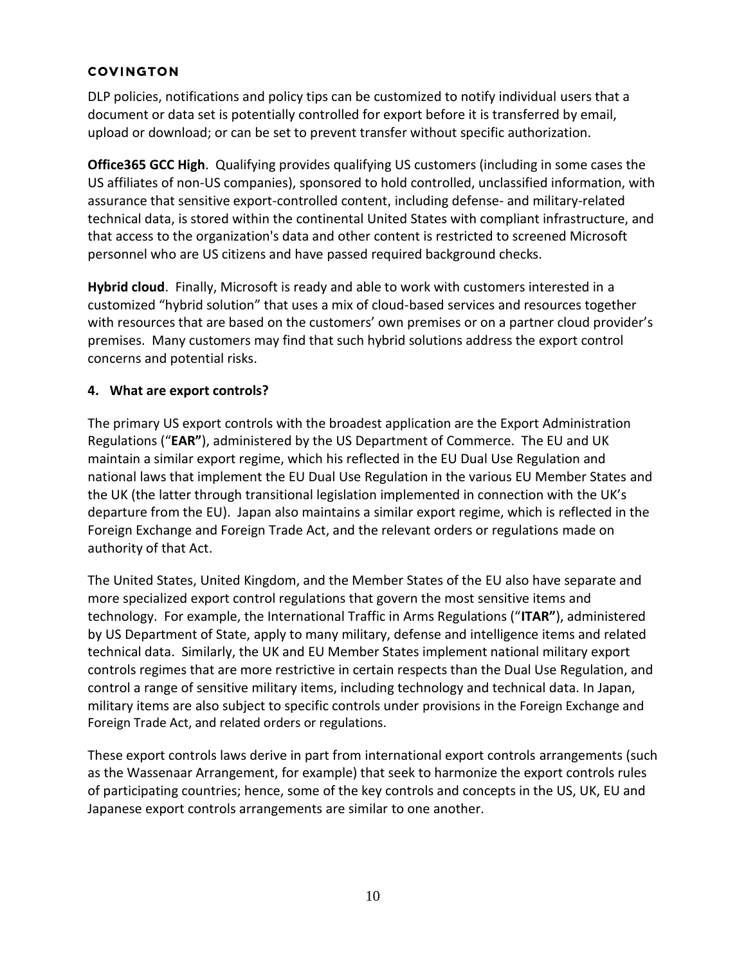DLP policies, notifications and policy tips can be customized to notify individual users that a document or data set is potentially controlled for export before it is transferred by email, upload or download; or can be set to prevent transfer without specific authorization.

**Office365 GCC High**. Qualifying provides qualifying US customers (including in some cases the US affiliates of non-US companies), sponsored to hold controlled, unclassified information, with assurance that sensitive export-controlled content, including defense- and military-related technical data, is stored within the continental United States with compliant infrastructure, and that access to the organization's data and other content is restricted to screened Microsoft personnel who are US citizens and have passed required background checks.

**Hybrid cloud**. Finally, Microsoft is ready and able to work with customers interested in a customized "hybrid solution" that uses a mix of cloud-based services and resources together with resources that are based on the customers' own premises or on a partner cloud provider's premises. Many customers may find that such hybrid solutions address the export control concerns and potential risks.

## **4. What are export controls?**

The primary US export controls with the broadest application are the Export Administration Regulations ("**EAR"**), administered by the US Department of Commerce. The EU and UK maintain a similar export regime, which his reflected in the EU Dual Use Regulation and national laws that implement the EU Dual Use Regulation in the various EU Member States and the UK (the latter through transitional legislation implemented in connection with the UK's departure from the EU). Japan also maintains a similar export regime, which is reflected in the Foreign Exchange and Foreign Trade Act, and the relevant orders or regulations made on authority of that Act.

The United States, United Kingdom, and the Member States of the EU also have separate and more specialized export control regulations that govern the most sensitive items and technology. For example, the International Traffic in Arms Regulations ("**ITAR"**), administered by US Department of State, apply to many military, defense and intelligence items and related technical data. Similarly, the UK and EU Member States implement national military export controls regimes that are more restrictive in certain respects than the Dual Use Regulation, and control a range of sensitive military items, including technology and technical data. In Japan, military items are also subject to specific controls under provisions in the Foreign Exchange and Foreign Trade Act, and related orders or regulations.

These export controls laws derive in part from international export controls arrangements (such as the Wassenaar Arrangement, for example) that seek to harmonize the export controls rules of participating countries; hence, some of the key controls and concepts in the US, UK, EU and Japanese export controls arrangements are similar to one another.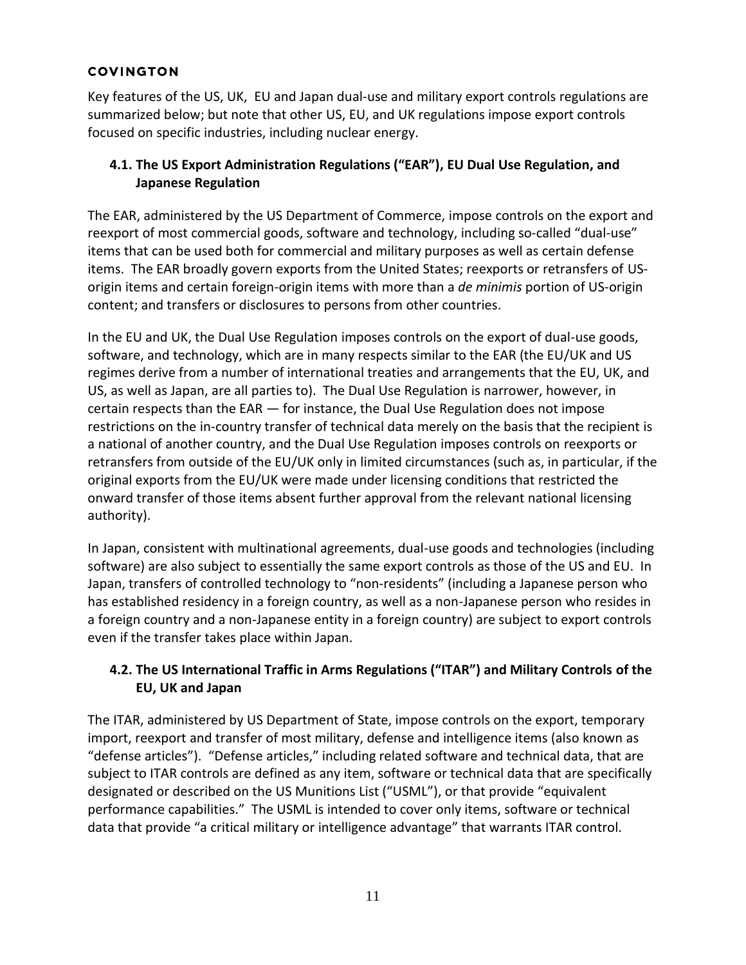Key features of the US, UK, EU and Japan dual-use and military export controls regulations are summarized below; but note that other US, EU, and UK regulations impose export controls focused on specific industries, including nuclear energy.

# **4.1. The US Export Administration Regulations ("EAR"), EU Dual Use Regulation, and Japanese Regulation**

The EAR, administered by the US Department of Commerce, impose controls on the export and reexport of most commercial goods, software and technology, including so-called "dual-use" items that can be used both for commercial and military purposes as well as certain defense items. The EAR broadly govern exports from the United States; reexports or retransfers of USorigin items and certain foreign-origin items with more than a *de minimis* portion of US-origin content; and transfers or disclosures to persons from other countries.

In the EU and UK, the Dual Use Regulation imposes controls on the export of dual-use goods, software, and technology, which are in many respects similar to the EAR (the EU/UK and US regimes derive from a number of international treaties and arrangements that the EU, UK, and US, as well as Japan, are all parties to). The Dual Use Regulation is narrower, however, in certain respects than the EAR — for instance, the Dual Use Regulation does not impose restrictions on the in-country transfer of technical data merely on the basis that the recipient is a national of another country, and the Dual Use Regulation imposes controls on reexports or retransfers from outside of the EU/UK only in limited circumstances (such as, in particular, if the original exports from the EU/UK were made under licensing conditions that restricted the onward transfer of those items absent further approval from the relevant national licensing authority).

In Japan, consistent with multinational agreements, dual-use goods and technologies (including software) are also subject to essentially the same export controls as those of the US and EU. In Japan, transfers of controlled technology to "non-residents" (including a Japanese person who has established residency in a foreign country, as well as a non-Japanese person who resides in a foreign country and a non-Japanese entity in a foreign country) are subject to export controls even if the transfer takes place within Japan.

# **4.2. The US International Traffic in Arms Regulations ("ITAR") and Military Controls of the EU, UK and Japan**

The ITAR, administered by US Department of State, impose controls on the export, temporary import, reexport and transfer of most military, defense and intelligence items (also known as "defense articles"). "Defense articles," including related software and technical data, that are subject to ITAR controls are defined as any item, software or technical data that are specifically designated or described on the US Munitions List ("USML"), or that provide "equivalent performance capabilities." The USML is intended to cover only items, software or technical data that provide "a critical military or intelligence advantage" that warrants ITAR control.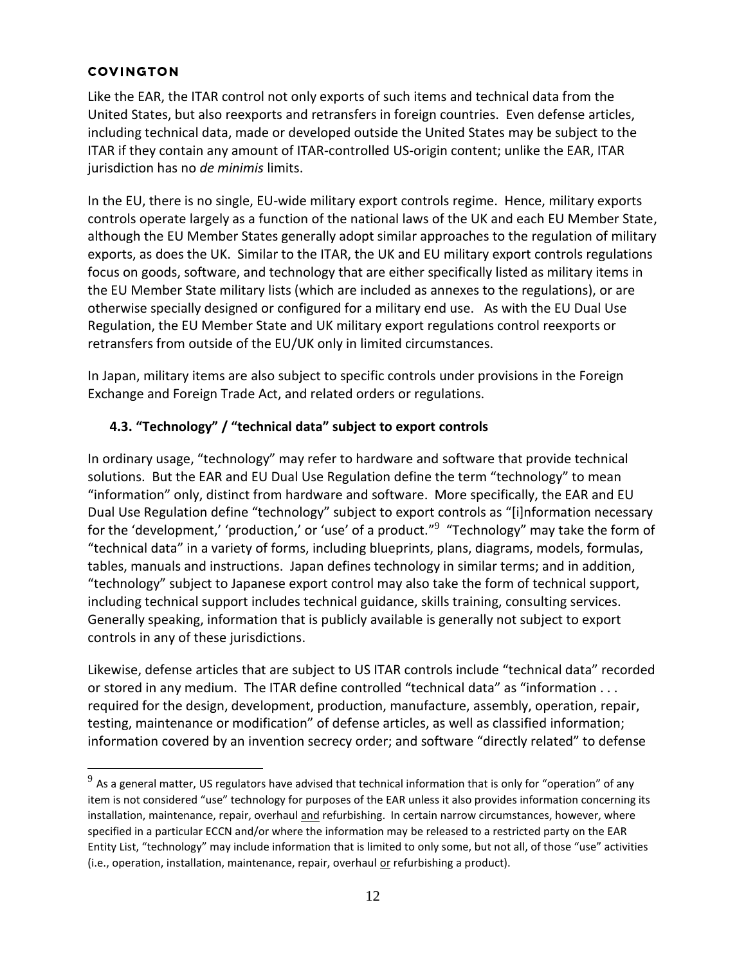Like the EAR, the ITAR control not only exports of such items and technical data from the United States, but also reexports and retransfers in foreign countries. Even defense articles, including technical data, made or developed outside the United States may be subject to the ITAR if they contain any amount of ITAR-controlled US-origin content; unlike the EAR, ITAR jurisdiction has no *de minimis* limits.

In the EU, there is no single, EU-wide military export controls regime. Hence, military exports controls operate largely as a function of the national laws of the UK and each EU Member State, although the EU Member States generally adopt similar approaches to the regulation of military exports, as does the UK. Similar to the ITAR, the UK and EU military export controls regulations focus on goods, software, and technology that are either specifically listed as military items in the EU Member State military lists (which are included as annexes to the regulations), or are otherwise specially designed or configured for a military end use. As with the EU Dual Use Regulation, the EU Member State and UK military export regulations control reexports or retransfers from outside of the EU/UK only in limited circumstances.

In Japan, military items are also subject to specific controls under provisions in the Foreign Exchange and Foreign Trade Act, and related orders or regulations.

# **4.3. "Technology" / "technical data" subject to export controls**

In ordinary usage, "technology" may refer to hardware and software that provide technical solutions. But the EAR and EU Dual Use Regulation define the term "technology" to mean "information" only, distinct from hardware and software. More specifically, the EAR and EU Dual Use Regulation define "technology" subject to export controls as "[i]nformation necessary for the 'development,' 'production,' or 'use' of a product."<sup>9</sup> "Technology" may take the form of "technical data" in a variety of forms, including blueprints, plans, diagrams, models, formulas, tables, manuals and instructions. Japan defines technology in similar terms; and in addition, "technology" subject to Japanese export control may also take the form of technical support, including technical support includes technical guidance, skills training, consulting services. Generally speaking, information that is publicly available is generally not subject to export controls in any of these jurisdictions.

Likewise, defense articles that are subject to US ITAR controls include "technical data" recorded or stored in any medium. The ITAR define controlled "technical data" as "information . . . required for the design, development, production, manufacture, assembly, operation, repair, testing, maintenance or modification" of defense articles, as well as classified information; information covered by an invention secrecy order; and software "directly related" to defense

 $^9$  As a general matter, US regulators have advised that technical information that is only for "operation" of any item is not considered "use" technology for purposes of the EAR unless it also provides information concerning its installation, maintenance, repair, overhaul and refurbishing. In certain narrow circumstances, however, where specified in a particular ECCN and/or where the information may be released to a restricted party on the EAR Entity List, "technology" may include information that is limited to only some, but not all, of those "use" activities (i.e., operation, installation, maintenance, repair, overhaul or refurbishing a product).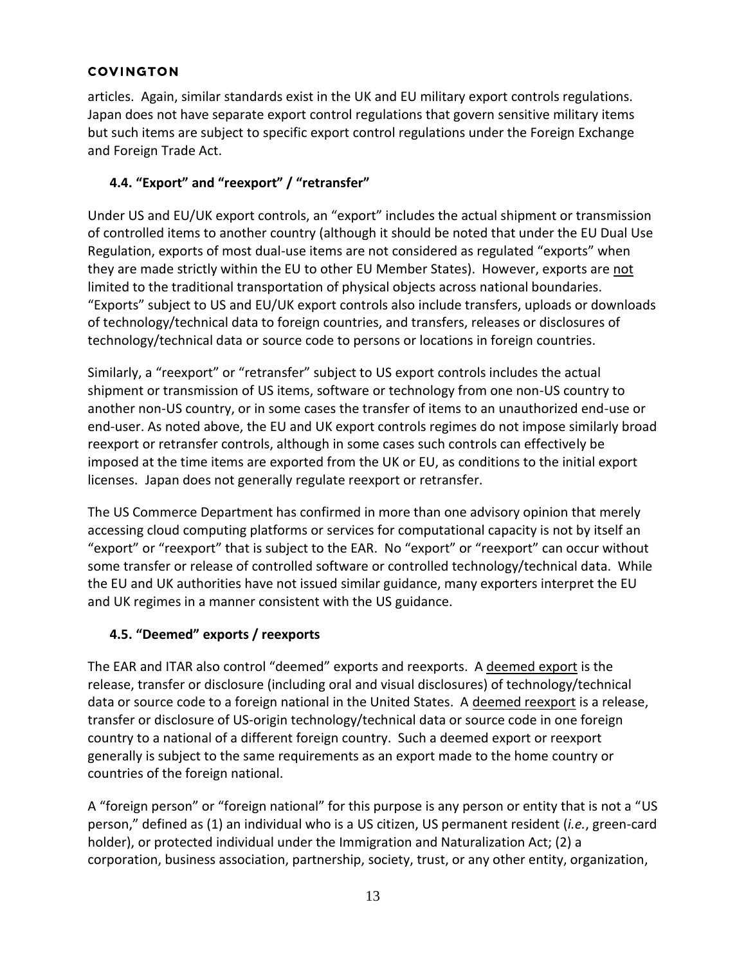articles. Again, similar standards exist in the UK and EU military export controls regulations. Japan does not have separate export control regulations that govern sensitive military items but such items are subject to specific export control regulations under the Foreign Exchange and Foreign Trade Act.

# **4.4. "Export" and "reexport" / "retransfer"**

Under US and EU/UK export controls, an "export" includes the actual shipment or transmission of controlled items to another country (although it should be noted that under the EU Dual Use Regulation, exports of most dual-use items are not considered as regulated "exports" when they are made strictly within the EU to other EU Member States). However, exports are not limited to the traditional transportation of physical objects across national boundaries. "Exports" subject to US and EU/UK export controls also include transfers, uploads or downloads of technology/technical data to foreign countries, and transfers, releases or disclosures of technology/technical data or source code to persons or locations in foreign countries.

Similarly, a "reexport" or "retransfer" subject to US export controls includes the actual shipment or transmission of US items, software or technology from one non-US country to another non-US country, or in some cases the transfer of items to an unauthorized end-use or end-user. As noted above, the EU and UK export controls regimes do not impose similarly broad reexport or retransfer controls, although in some cases such controls can effectively be imposed at the time items are exported from the UK or EU, as conditions to the initial export licenses. Japan does not generally regulate reexport or retransfer.

The US Commerce Department has confirmed in more than one advisory opinion that merely accessing cloud computing platforms or services for computational capacity is not by itself an "export" or "reexport" that is subject to the EAR. No "export" or "reexport" can occur without some transfer or release of controlled software or controlled technology/technical data. While the EU and UK authorities have not issued similar guidance, many exporters interpret the EU and UK regimes in a manner consistent with the US guidance.

# **4.5. "Deemed" exports / reexports**

The EAR and ITAR also control "deemed" exports and reexports. A deemed export is the release, transfer or disclosure (including oral and visual disclosures) of technology/technical data or source code to a foreign national in the United States. A deemed reexport is a release, transfer or disclosure of US-origin technology/technical data or source code in one foreign country to a national of a different foreign country. Such a deemed export or reexport generally is subject to the same requirements as an export made to the home country or countries of the foreign national.

A "foreign person" or "foreign national" for this purpose is any person or entity that is not a "US person," defined as (1) an individual who is a US citizen, US permanent resident (*i.e.*, green-card holder), or protected individual under the Immigration and Naturalization Act; (2) a corporation, business association, partnership, society, trust, or any other entity, organization,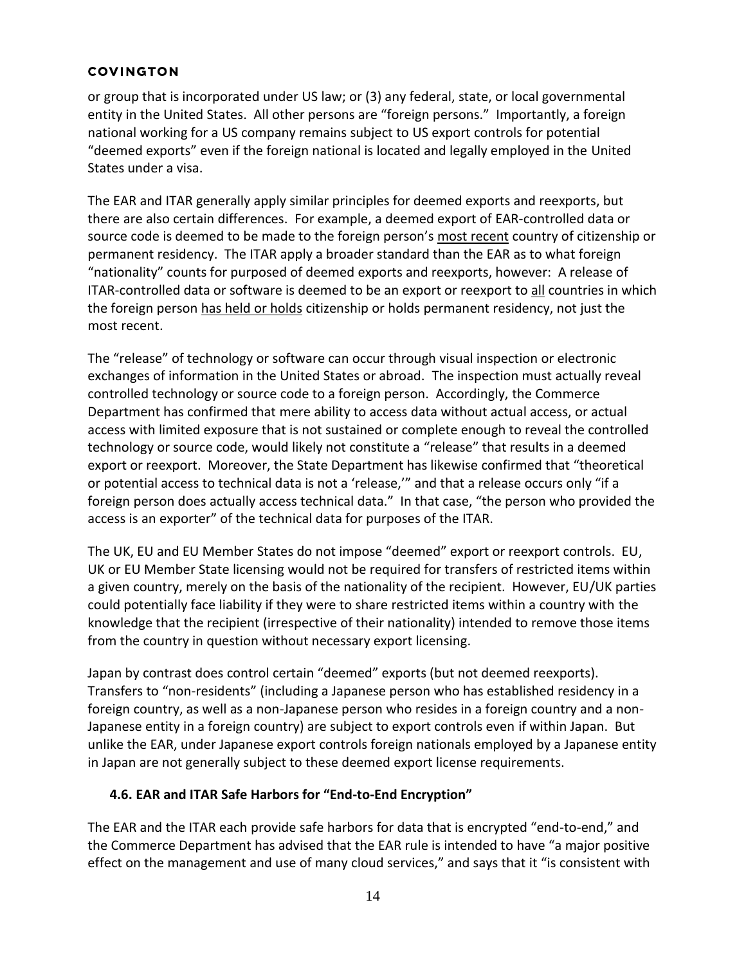or group that is incorporated under US law; or (3) any federal, state, or local governmental entity in the United States. All other persons are "foreign persons." Importantly, a foreign national working for a US company remains subject to US export controls for potential "deemed exports" even if the foreign national is located and legally employed in the United States under a visa.

The EAR and ITAR generally apply similar principles for deemed exports and reexports, but there are also certain differences. For example, a deemed export of EAR-controlled data or source code is deemed to be made to the foreign person's most recent country of citizenship or permanent residency. The ITAR apply a broader standard than the EAR as to what foreign "nationality" counts for purposed of deemed exports and reexports, however: A release of ITAR-controlled data or software is deemed to be an export or reexport to all countries in which the foreign person has held or holds citizenship or holds permanent residency, not just the most recent.

The "release" of technology or software can occur through visual inspection or electronic exchanges of information in the United States or abroad. The inspection must actually reveal controlled technology or source code to a foreign person. Accordingly, the Commerce Department has confirmed that mere ability to access data without actual access, or actual access with limited exposure that is not sustained or complete enough to reveal the controlled technology or source code, would likely not constitute a "release" that results in a deemed export or reexport. Moreover, the State Department has likewise confirmed that "theoretical or potential access to technical data is not a 'release,'" and that a release occurs only "if a foreign person does actually access technical data." In that case, "the person who provided the access is an exporter" of the technical data for purposes of the ITAR.

The UK, EU and EU Member States do not impose "deemed" export or reexport controls. EU, UK or EU Member State licensing would not be required for transfers of restricted items within a given country, merely on the basis of the nationality of the recipient. However, EU/UK parties could potentially face liability if they were to share restricted items within a country with the knowledge that the recipient (irrespective of their nationality) intended to remove those items from the country in question without necessary export licensing.

Japan by contrast does control certain "deemed" exports (but not deemed reexports). Transfers to "non-residents" (including a Japanese person who has established residency in a foreign country, as well as a non-Japanese person who resides in a foreign country and a non-Japanese entity in a foreign country) are subject to export controls even if within Japan. But unlike the EAR, under Japanese export controls foreign nationals employed by a Japanese entity in Japan are not generally subject to these deemed export license requirements.

# **4.6. EAR and ITAR Safe Harbors for "End-to-End Encryption"**

The EAR and the ITAR each provide safe harbors for data that is encrypted "end-to-end," and the Commerce Department has advised that the EAR rule is intended to have "a major positive effect on the management and use of many cloud services," and says that it "is consistent with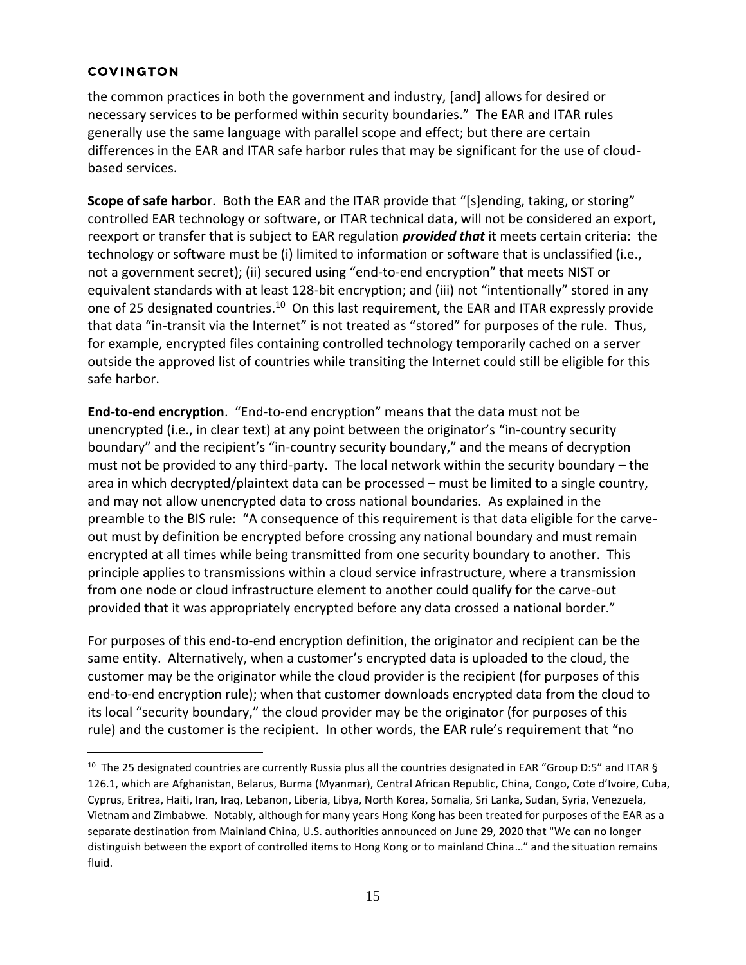the common practices in both the government and industry, [and] allows for desired or necessary services to be performed within security boundaries." The EAR and ITAR rules generally use the same language with parallel scope and effect; but there are certain differences in the EAR and ITAR safe harbor rules that may be significant for the use of cloudbased services.

**Scope of safe harbo**r. Both the EAR and the ITAR provide that "[s]ending, taking, or storing" controlled EAR technology or software, or ITAR technical data, will not be considered an export, reexport or transfer that is subject to EAR regulation *provided that* it meets certain criteria: the technology or software must be (i) limited to information or software that is unclassified (i.e., not a government secret); (ii) secured using "end-to-end encryption" that meets NIST or equivalent standards with at least 128-bit encryption; and (iii) not "intentionally" stored in any one of 25 designated countries.<sup>10</sup> On this last requirement, the EAR and ITAR expressly provide that data "in-transit via the Internet" is not treated as "stored" for purposes of the rule. Thus, for example, encrypted files containing controlled technology temporarily cached on a server outside the approved list of countries while transiting the Internet could still be eligible for this safe harbor.

**End-to-end encryption**. "End-to-end encryption" means that the data must not be unencrypted (i.e., in clear text) at any point between the originator's "in-country security boundary" and the recipient's "in-country security boundary," and the means of decryption must not be provided to any third-party. The local network within the security boundary – the area in which decrypted/plaintext data can be processed – must be limited to a single country, and may not allow unencrypted data to cross national boundaries. As explained in the preamble to the BIS rule: "A consequence of this requirement is that data eligible for the carveout must by definition be encrypted before crossing any national boundary and must remain encrypted at all times while being transmitted from one security boundary to another. This principle applies to transmissions within a cloud service infrastructure, where a transmission from one node or cloud infrastructure element to another could qualify for the carve-out provided that it was appropriately encrypted before any data crossed a national border."

For purposes of this end-to-end encryption definition, the originator and recipient can be the same entity. Alternatively, when a customer's encrypted data is uploaded to the cloud, the customer may be the originator while the cloud provider is the recipient (for purposes of this end-to-end encryption rule); when that customer downloads encrypted data from the cloud to its local "security boundary," the cloud provider may be the originator (for purposes of this rule) and the customer is the recipient. In other words, the EAR rule's requirement that "no

<sup>&</sup>lt;sup>10</sup> The 25 designated countries are currently Russia plus all the countries designated in EAR "Group D:5" and ITAR § 126.1, which are Afghanistan, Belarus, Burma (Myanmar), Central African Republic, China, Congo, Cote d'Ivoire, Cuba, Cyprus, Eritrea, Haiti, Iran, Iraq, Lebanon, Liberia, Libya, North Korea, Somalia, Sri Lanka, Sudan, Syria, Venezuela, Vietnam and Zimbabwe. Notably, although for many years Hong Kong has been treated for purposes of the EAR as a separate destination from Mainland China, U.S. authorities announced on June 29, 2020 that "We can no longer distinguish between the export of controlled items to Hong Kong or to mainland China…" and the situation remains fluid.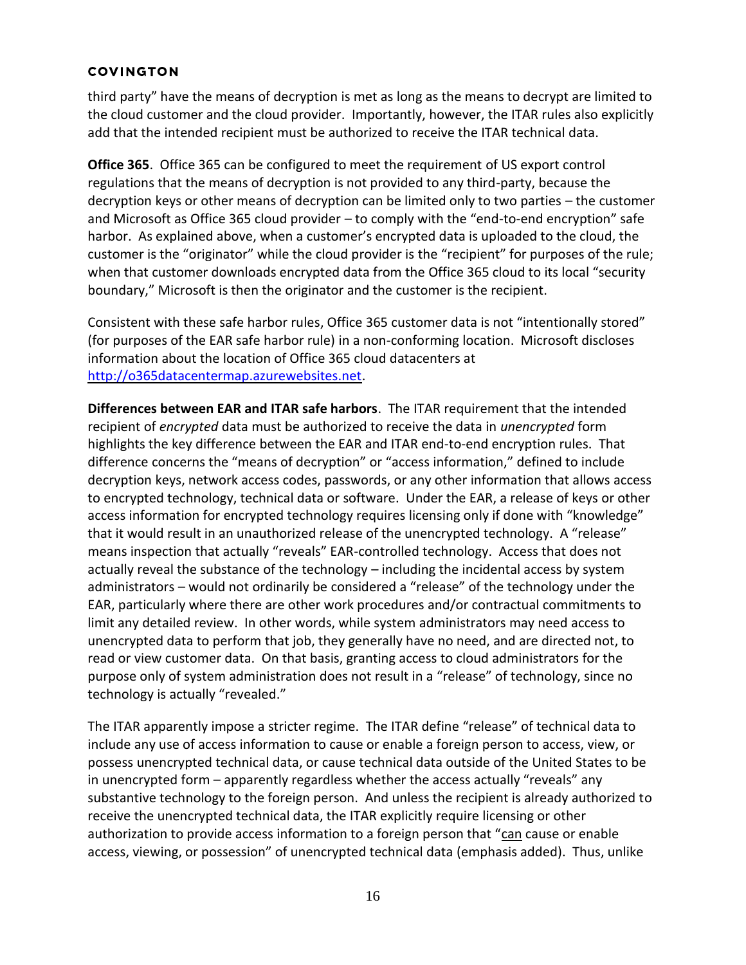third party" have the means of decryption is met as long as the means to decrypt are limited to the cloud customer and the cloud provider. Importantly, however, the ITAR rules also explicitly add that the intended recipient must be authorized to receive the ITAR technical data.

**Office 365**. Office 365 can be configured to meet the requirement of US export control regulations that the means of decryption is not provided to any third-party, because the decryption keys or other means of decryption can be limited only to two parties – the customer and Microsoft as Office 365 cloud provider – to comply with the "end-to-end encryption" safe harbor. As explained above, when a customer's encrypted data is uploaded to the cloud, the customer is the "originator" while the cloud provider is the "recipient" for purposes of the rule; when that customer downloads encrypted data from the Office 365 cloud to its local "security boundary," Microsoft is then the originator and the customer is the recipient.

Consistent with these safe harbor rules, Office 365 customer data is not "intentionally stored" (for purposes of the EAR safe harbor rule) in a non-conforming location. Microsoft discloses information about the location of Office 365 cloud datacenters at [http://o365datacentermap.azurewebsites.net.](http://o365datacentermap.azurewebsites.net/)

**Differences between EAR and ITAR safe harbors**. The ITAR requirement that the intended recipient of *encrypted* data must be authorized to receive the data in *unencrypted* form highlights the key difference between the EAR and ITAR end-to-end encryption rules. That difference concerns the "means of decryption" or "access information," defined to include decryption keys, network access codes, passwords, or any other information that allows access to encrypted technology, technical data or software. Under the EAR, a release of keys or other access information for encrypted technology requires licensing only if done with "knowledge" that it would result in an unauthorized release of the unencrypted technology. A "release" means inspection that actually "reveals" EAR-controlled technology. Access that does not actually reveal the substance of the technology – including the incidental access by system administrators – would not ordinarily be considered a "release" of the technology under the EAR, particularly where there are other work procedures and/or contractual commitments to limit any detailed review. In other words, while system administrators may need access to unencrypted data to perform that job, they generally have no need, and are directed not, to read or view customer data. On that basis, granting access to cloud administrators for the purpose only of system administration does not result in a "release" of technology, since no technology is actually "revealed."

The ITAR apparently impose a stricter regime. The ITAR define "release" of technical data to include any use of access information to cause or enable a foreign person to access, view, or possess unencrypted technical data, or cause technical data outside of the United States to be in unencrypted form – apparently regardless whether the access actually "reveals" any substantive technology to the foreign person. And unless the recipient is already authorized to receive the unencrypted technical data, the ITAR explicitly require licensing or other authorization to provide access information to a foreign person that "can cause or enable access, viewing, or possession" of unencrypted technical data (emphasis added). Thus, unlike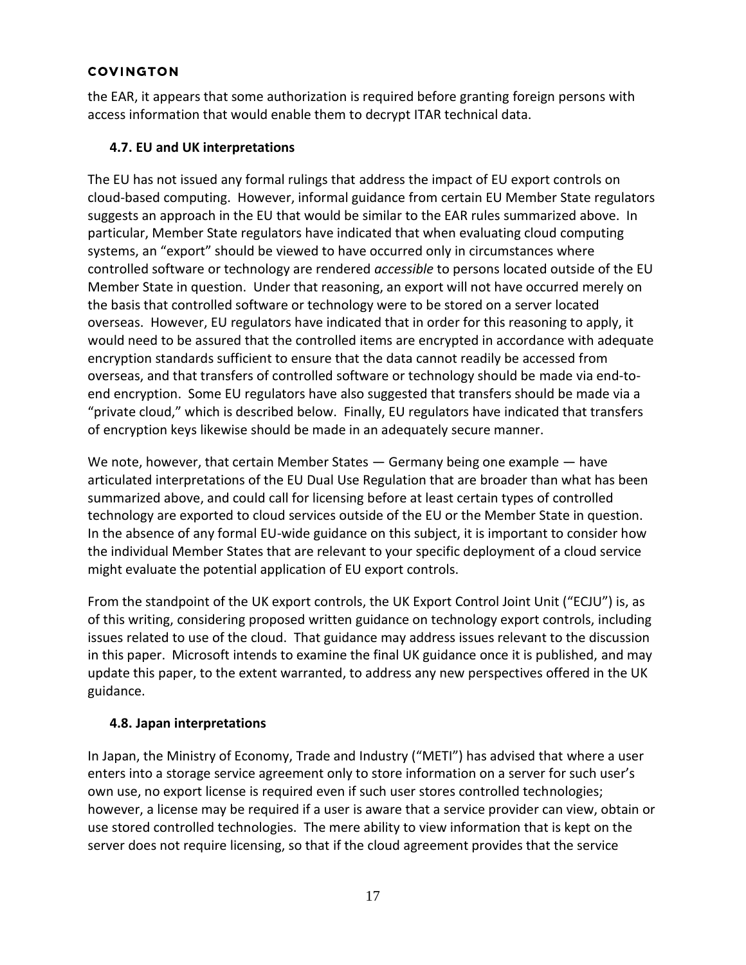the EAR, it appears that some authorization is required before granting foreign persons with access information that would enable them to decrypt ITAR technical data.

# **4.7. EU and UK interpretations**

The EU has not issued any formal rulings that address the impact of EU export controls on cloud-based computing. However, informal guidance from certain EU Member State regulators suggests an approach in the EU that would be similar to the EAR rules summarized above. In particular, Member State regulators have indicated that when evaluating cloud computing systems, an "export" should be viewed to have occurred only in circumstances where controlled software or technology are rendered *accessible* to persons located outside of the EU Member State in question. Under that reasoning, an export will not have occurred merely on the basis that controlled software or technology were to be stored on a server located overseas. However, EU regulators have indicated that in order for this reasoning to apply, it would need to be assured that the controlled items are encrypted in accordance with adequate encryption standards sufficient to ensure that the data cannot readily be accessed from overseas, and that transfers of controlled software or technology should be made via end-toend encryption. Some EU regulators have also suggested that transfers should be made via a "private cloud," which is described below. Finally, EU regulators have indicated that transfers of encryption keys likewise should be made in an adequately secure manner.

We note, however, that certain Member States — Germany being one example — have articulated interpretations of the EU Dual Use Regulation that are broader than what has been summarized above, and could call for licensing before at least certain types of controlled technology are exported to cloud services outside of the EU or the Member State in question. In the absence of any formal EU-wide guidance on this subject, it is important to consider how the individual Member States that are relevant to your specific deployment of a cloud service might evaluate the potential application of EU export controls.

From the standpoint of the UK export controls, the UK Export Control Joint Unit ("ECJU") is, as of this writing, considering proposed written guidance on technology export controls, including issues related to use of the cloud. That guidance may address issues relevant to the discussion in this paper. Microsoft intends to examine the final UK guidance once it is published, and may update this paper, to the extent warranted, to address any new perspectives offered in the UK guidance.

# **4.8. Japan interpretations**

In Japan, the Ministry of Economy, Trade and Industry ("METI") has advised that where a user enters into a storage service agreement only to store information on a server for such user's own use, no export license is required even if such user stores controlled technologies; however, a license may be required if a user is aware that a service provider can view, obtain or use stored controlled technologies. The mere ability to view information that is kept on the server does not require licensing, so that if the cloud agreement provides that the service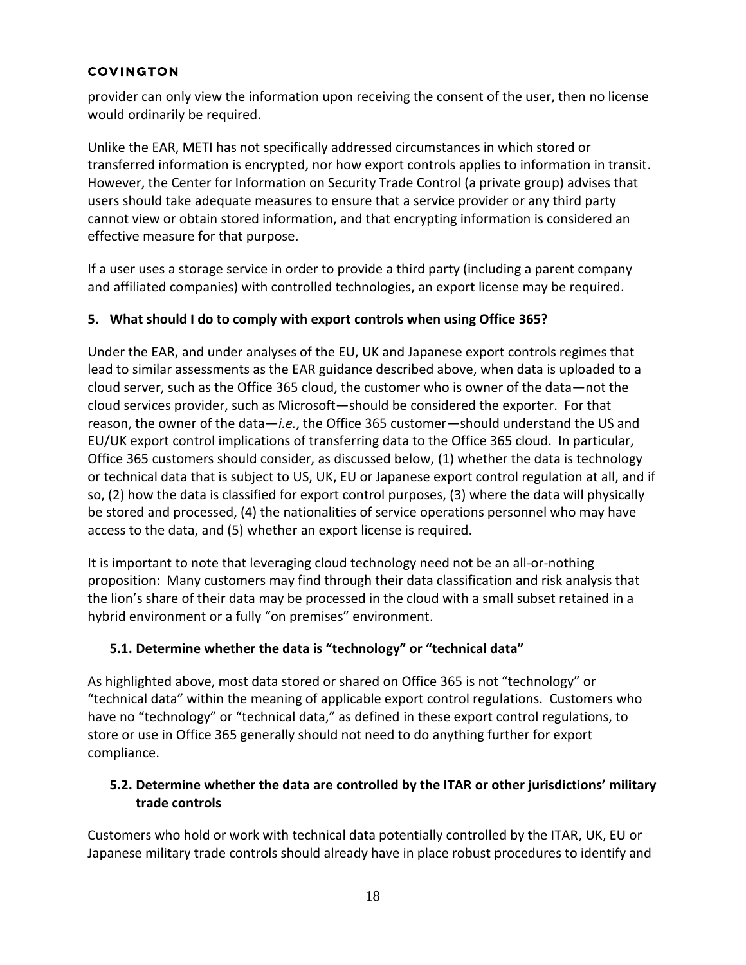provider can only view the information upon receiving the consent of the user, then no license would ordinarily be required.

Unlike the EAR, METI has not specifically addressed circumstances in which stored or transferred information is encrypted, nor how export controls applies to information in transit. However, the Center for Information on Security Trade Control (a private group) advises that users should take adequate measures to ensure that a service provider or any third party cannot view or obtain stored information, and that encrypting information is considered an effective measure for that purpose.

If a user uses a storage service in order to provide a third party (including a parent company and affiliated companies) with controlled technologies, an export license may be required.

## **5. What should I do to comply with export controls when using Office 365?**

Under the EAR, and under analyses of the EU, UK and Japanese export controls regimes that lead to similar assessments as the EAR guidance described above, when data is uploaded to a cloud server, such as the Office 365 cloud, the customer who is owner of the data—not the cloud services provider, such as Microsoft—should be considered the exporter. For that reason, the owner of the data—*i.e.*, the Office 365 customer—should understand the US and EU/UK export control implications of transferring data to the Office 365 cloud. In particular, Office 365 customers should consider, as discussed below, (1) whether the data is technology or technical data that is subject to US, UK, EU or Japanese export control regulation at all, and if so, (2) how the data is classified for export control purposes, (3) where the data will physically be stored and processed, (4) the nationalities of service operations personnel who may have access to the data, and (5) whether an export license is required.

It is important to note that leveraging cloud technology need not be an all-or-nothing proposition: Many customers may find through their data classification and risk analysis that the lion's share of their data may be processed in the cloud with a small subset retained in a hybrid environment or a fully "on premises" environment.

# **5.1. Determine whether the data is "technology" or "technical data"**

As highlighted above, most data stored or shared on Office 365 is not "technology" or "technical data" within the meaning of applicable export control regulations. Customers who have no "technology" or "technical data," as defined in these export control regulations, to store or use in Office 365 generally should not need to do anything further for export compliance.

# **5.2. Determine whether the data are controlled by the ITAR or other jurisdictions' military trade controls**

Customers who hold or work with technical data potentially controlled by the ITAR, UK, EU or Japanese military trade controls should already have in place robust procedures to identify and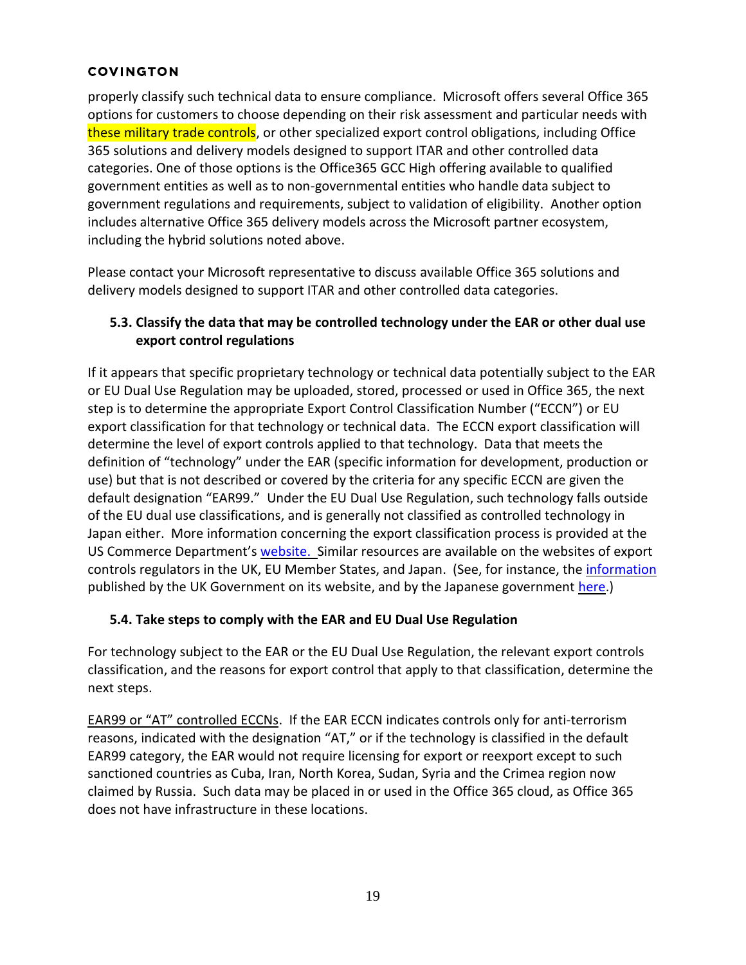properly classify such technical data to ensure compliance. Microsoft offers several Office 365 options for customers to choose depending on their risk assessment and particular needs with these military trade controls, or other specialized export control obligations, including Office 365 solutions and delivery models designed to support ITAR and other controlled data categories. One of those options is the Office365 GCC High offering available to qualified government entities as well as to non-governmental entities who handle data subject to government regulations and requirements, subject to validation of eligibility. Another option includes alternative Office 365 delivery models across the Microsoft partner ecosystem, including the hybrid solutions noted above.

Please contact your Microsoft representative to discuss available Office 365 solutions and delivery models designed to support ITAR and other controlled data categories.

# **5.3. Classify the data that may be controlled technology under the EAR or other dual use export control regulations**

If it appears that specific proprietary technology or technical data potentially subject to the EAR or EU Dual Use Regulation may be uploaded, stored, processed or used in Office 365, the next step is to determine the appropriate Export Control Classification Number ("ECCN") or EU export classification for that technology or technical data. The ECCN export classification will determine the level of export controls applied to that technology. Data that meets the definition of "technology" under the EAR (specific information for development, production or use) but that is not described or covered by the criteria for any specific ECCN are given the default designation "EAR99." Under the EU Dual Use Regulation, such technology falls outside of the EU dual use classifications, and is generally not classified as controlled technology in Japan either. More information concerning the export classification process is provided at the US Commerce Department's [website.](http://www.bis.doc.gov/index.php/licensing/commerce-control-list-classification) Similar resources are available on the websites of export controls regulators in the UK, EU Member States, and Japan. (See, for instance, the *information* published by the UK Government on its website, and by the Japanese government [here.](https://www.meti.go.jp/policy/anpo/englishpage/securityexportcontrolinjapan.pdf))

# **5.4. Take steps to comply with the EAR and EU Dual Use Regulation**

For technology subject to the EAR or the EU Dual Use Regulation, the relevant export controls classification, and the reasons for export control that apply to that classification, determine the next steps.

EAR99 or "AT" controlled ECCNs. If the EAR ECCN indicates controls only for anti-terrorism reasons, indicated with the designation "AT," or if the technology is classified in the default EAR99 category, the EAR would not require licensing for export or reexport except to such sanctioned countries as Cuba, Iran, North Korea, Sudan, Syria and the Crimea region now claimed by Russia. Such data may be placed in or used in the Office 365 cloud, as Office 365 does not have infrastructure in these locations.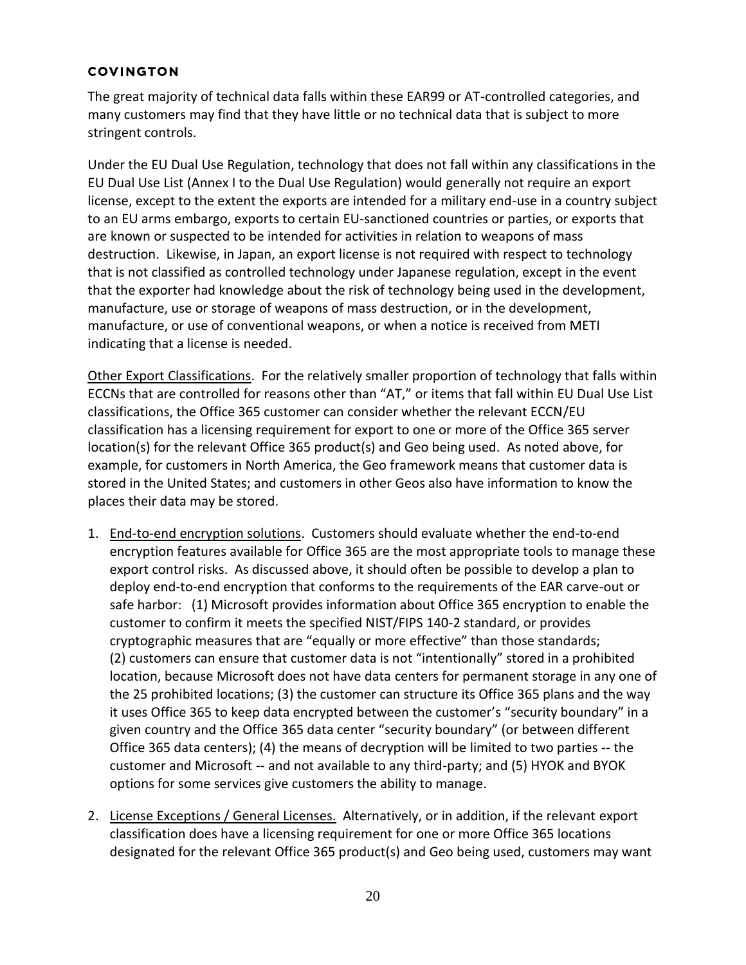The great majority of technical data falls within these EAR99 or AT-controlled categories, and many customers may find that they have little or no technical data that is subject to more stringent controls.

Under the EU Dual Use Regulation, technology that does not fall within any classifications in the EU Dual Use List (Annex I to the Dual Use Regulation) would generally not require an export license, except to the extent the exports are intended for a military end-use in a country subject to an EU arms embargo, exports to certain EU-sanctioned countries or parties, or exports that are known or suspected to be intended for activities in relation to weapons of mass destruction. Likewise, in Japan, an export license is not required with respect to technology that is not classified as controlled technology under Japanese regulation, except in the event that the exporter had knowledge about the risk of technology being used in the development, manufacture, use or storage of weapons of mass destruction, or in the development, manufacture, or use of conventional weapons, or when a notice is received from METI indicating that a license is needed.

Other Export Classifications. For the relatively smaller proportion of technology that falls within ECCNs that are controlled for reasons other than "AT," or items that fall within EU Dual Use List classifications, the Office 365 customer can consider whether the relevant ECCN/EU classification has a licensing requirement for export to one or more of the Office 365 server location(s) for the relevant Office 365 product(s) and Geo being used. As noted above, for example, for customers in North America, the Geo framework means that customer data is stored in the United States; and customers in other Geos also have information to know the places their data may be stored.

- 1. End-to-end encryption solutions. Customers should evaluate whether the end-to-end encryption features available for Office 365 are the most appropriate tools to manage these export control risks. As discussed above, it should often be possible to develop a plan to deploy end-to-end encryption that conforms to the requirements of the EAR carve-out or safe harbor: (1) Microsoft provides information about Office 365 encryption to enable the customer to confirm it meets the specified NIST/FIPS 140-2 standard, or provides cryptographic measures that are "equally or more effective" than those standards; (2) customers can ensure that customer data is not "intentionally" stored in a prohibited location, because Microsoft does not have data centers for permanent storage in any one of the 25 prohibited locations; (3) the customer can structure its Office 365 plans and the way it uses Office 365 to keep data encrypted between the customer's "security boundary" in a given country and the Office 365 data center "security boundary" (or between different Office 365 data centers); (4) the means of decryption will be limited to two parties -- the customer and Microsoft -- and not available to any third-party; and (5) HYOK and BYOK options for some services give customers the ability to manage.
- 2. License Exceptions / General Licenses. Alternatively, or in addition, if the relevant export classification does have a licensing requirement for one or more Office 365 locations designated for the relevant Office 365 product(s) and Geo being used, customers may want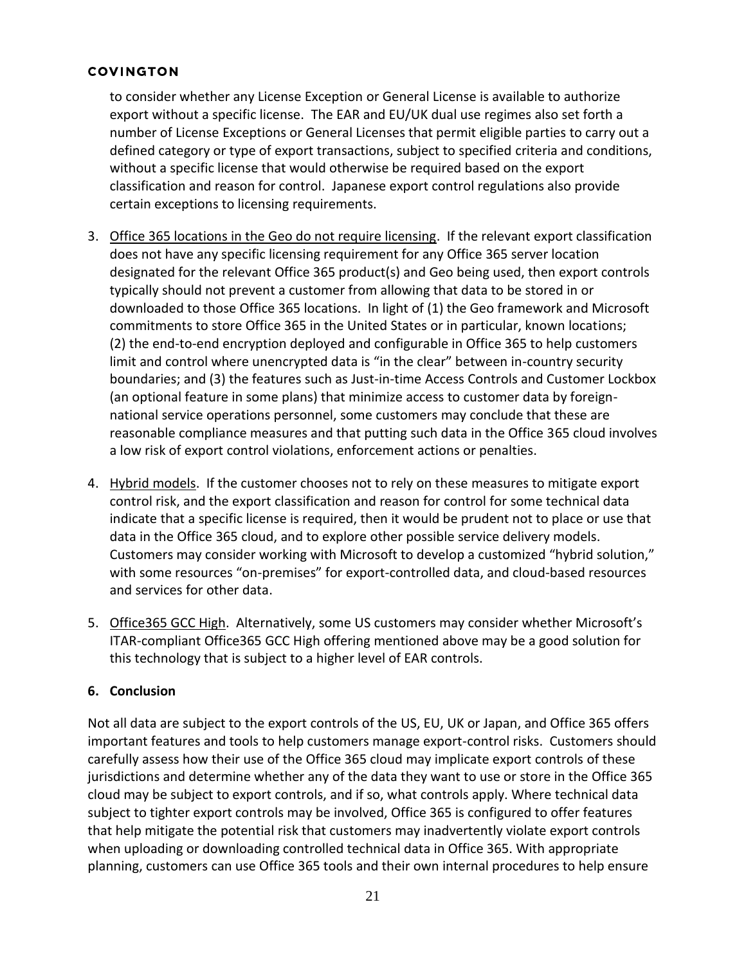to consider whether any License Exception or General License is available to authorize export without a specific license. The EAR and EU/UK dual use regimes also set forth a number of License Exceptions or General Licenses that permit eligible parties to carry out a defined category or type of export transactions, subject to specified criteria and conditions, without a specific license that would otherwise be required based on the export classification and reason for control. Japanese export control regulations also provide certain exceptions to licensing requirements.

- 3. Office 365 locations in the Geo do not require licensing. If the relevant export classification does not have any specific licensing requirement for any Office 365 server location designated for the relevant Office 365 product(s) and Geo being used, then export controls typically should not prevent a customer from allowing that data to be stored in or downloaded to those Office 365 locations. In light of (1) the Geo framework and Microsoft commitments to store Office 365 in the United States or in particular, known locations; (2) the end-to-end encryption deployed and configurable in Office 365 to help customers limit and control where unencrypted data is "in the clear" between in-country security boundaries; and (3) the features such as Just-in-time Access Controls and Customer Lockbox (an optional feature in some plans) that minimize access to customer data by foreignnational service operations personnel, some customers may conclude that these are reasonable compliance measures and that putting such data in the Office 365 cloud involves a low risk of export control violations, enforcement actions or penalties.
- 4. Hybrid models. If the customer chooses not to rely on these measures to mitigate export control risk, and the export classification and reason for control for some technical data indicate that a specific license is required, then it would be prudent not to place or use that data in the Office 365 cloud, and to explore other possible service delivery models. Customers may consider working with Microsoft to develop a customized "hybrid solution," with some resources "on-premises" for export-controlled data, and cloud-based resources and services for other data.
- 5. Office365 GCC High. Alternatively, some US customers may consider whether Microsoft's ITAR-compliant Office365 GCC High offering mentioned above may be a good solution for this technology that is subject to a higher level of EAR controls.

# **6. Conclusion**

Not all data are subject to the export controls of the US, EU, UK or Japan, and Office 365 offers important features and tools to help customers manage export-control risks. Customers should carefully assess how their use of the Office 365 cloud may implicate export controls of these jurisdictions and determine whether any of the data they want to use or store in the Office 365 cloud may be subject to export controls, and if so, what controls apply. Where technical data subject to tighter export controls may be involved, Office 365 is configured to offer features that help mitigate the potential risk that customers may inadvertently violate export controls when uploading or downloading controlled technical data in Office 365. With appropriate planning, customers can use Office 365 tools and their own internal procedures to help ensure